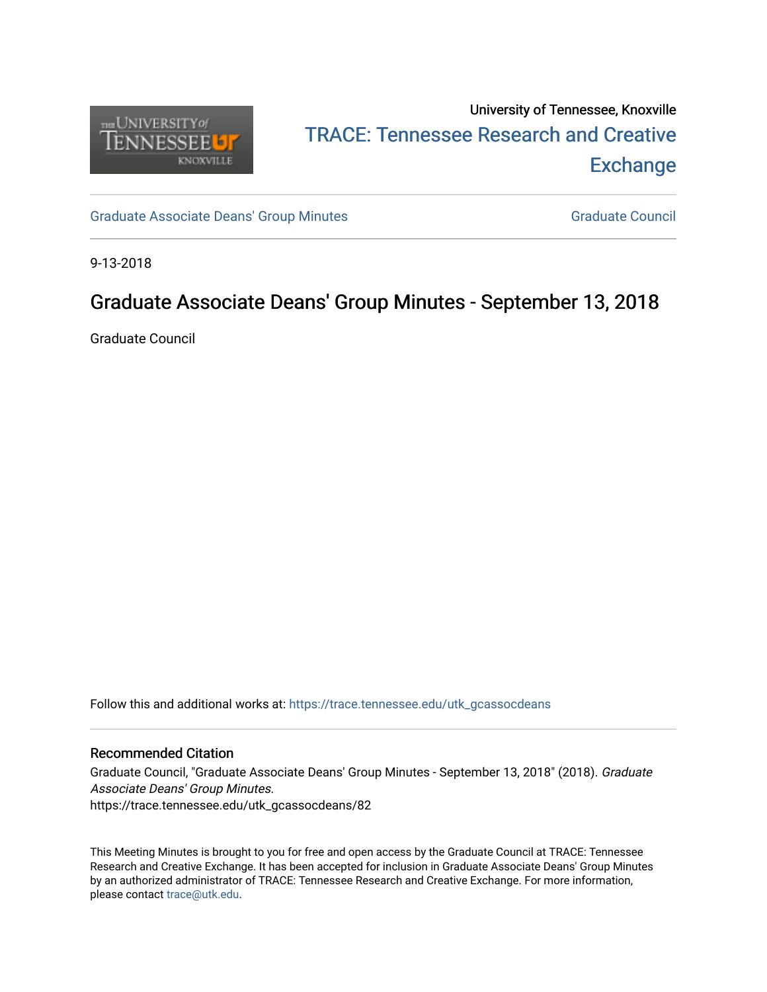

# University of Tennessee, Knoxville TRACE: T[ennessee Research and Cr](https://trace.tennessee.edu/)eative **Exchange**

[Graduate Associate Deans' Group Minutes](https://trace.tennessee.edu/utk_gcassocdeans) [Graduate Council](https://trace.tennessee.edu/utk_gradcouncil) Graduate Council

9-13-2018

## Graduate Associate Deans' Group Minutes - September 13, 2018

Graduate Council

Follow this and additional works at: [https://trace.tennessee.edu/utk\\_gcassocdeans](https://trace.tennessee.edu/utk_gcassocdeans?utm_source=trace.tennessee.edu%2Futk_gcassocdeans%2F82&utm_medium=PDF&utm_campaign=PDFCoverPages)

### Recommended Citation

Graduate Council, "Graduate Associate Deans' Group Minutes - September 13, 2018" (2018). Graduate Associate Deans' Group Minutes. https://trace.tennessee.edu/utk\_gcassocdeans/82

This Meeting Minutes is brought to you for free and open access by the Graduate Council at TRACE: Tennessee Research and Creative Exchange. It has been accepted for inclusion in Graduate Associate Deans' Group Minutes by an authorized administrator of TRACE: Tennessee Research and Creative Exchange. For more information, please contact [trace@utk.edu.](mailto:trace@utk.edu)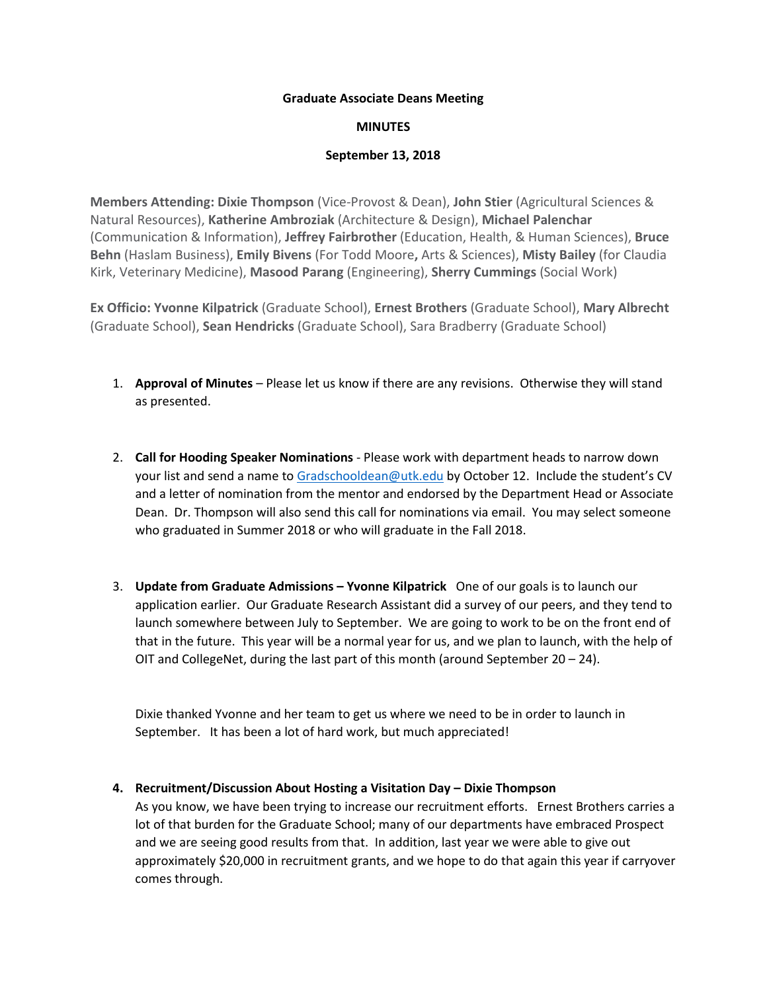#### **Graduate Associate Deans Meeting**

#### **MINUTES**

#### **September 13, 2018**

**Members Attending: Dixie Thompson** (Vice-Provost & Dean), **John Stier** (Agricultural Sciences & Natural Resources), **Katherine Ambroziak** (Architecture & Design), **Michael Palenchar** (Communication & Information), **Jeffrey Fairbrother** (Education, Health, & Human Sciences), **Bruce Behn** (Haslam Business), **Emily Bivens** (For Todd Moore**,** Arts & Sciences), **Misty Bailey** (for Claudia Kirk, Veterinary Medicine), **Masood Parang** (Engineering), **Sherry Cummings** (Social Work)

**Ex Officio: Yvonne Kilpatrick** (Graduate School), **Ernest Brothers** (Graduate School), **Mary Albrecht**  (Graduate School), **Sean Hendricks** (Graduate School), Sara Bradberry (Graduate School)

- 1. **Approval of Minutes** Please let us know if there are any revisions. Otherwise they will stand as presented.
- 2. **Call for Hooding Speaker Nominations** Please work with department heads to narrow down your list and send a name to [Gradschooldean@utk.edu](mailto:Gradschooldean@utk.edu) by October 12. Include the student's CV and a letter of nomination from the mentor and endorsed by the Department Head or Associate Dean. Dr. Thompson will also send this call for nominations via email. You may select someone who graduated in Summer 2018 or who will graduate in the Fall 2018.
- 3. **Update from Graduate Admissions – Yvonne Kilpatrick** One of our goals is to launch our application earlier. Our Graduate Research Assistant did a survey of our peers, and they tend to launch somewhere between July to September. We are going to work to be on the front end of that in the future. This year will be a normal year for us, and we plan to launch, with the help of OIT and CollegeNet, during the last part of this month (around September 20 – 24).

Dixie thanked Yvonne and her team to get us where we need to be in order to launch in September. It has been a lot of hard work, but much appreciated!

#### **4. Recruitment/Discussion About Hosting a Visitation Day – Dixie Thompson**

As you know, we have been trying to increase our recruitment efforts. Ernest Brothers carries a lot of that burden for the Graduate School; many of our departments have embraced Prospect and we are seeing good results from that. In addition, last year we were able to give out approximately \$20,000 in recruitment grants, and we hope to do that again this year if carryover comes through.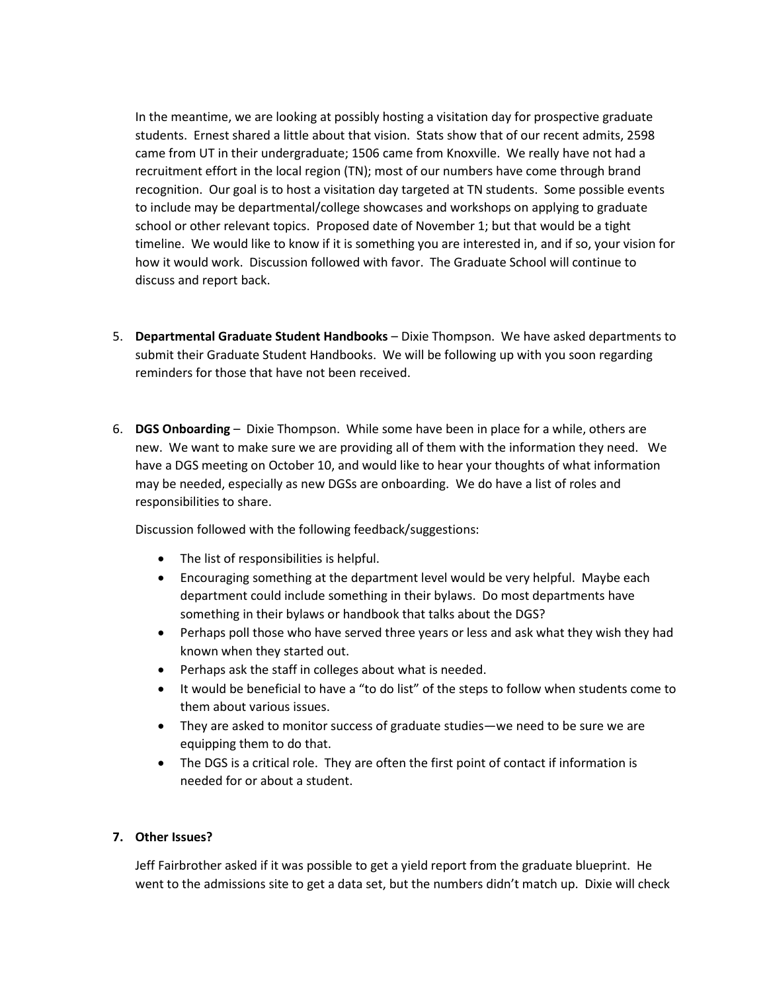In the meantime, we are looking at possibly hosting a visitation day for prospective graduate students. Ernest shared a little about that vision. Stats show that of our recent admits, 2598 came from UT in their undergraduate; 1506 came from Knoxville. We really have not had a recruitment effort in the local region (TN); most of our numbers have come through brand recognition. Our goal is to host a visitation day targeted at TN students. Some possible events to include may be departmental/college showcases and workshops on applying to graduate school or other relevant topics. Proposed date of November 1; but that would be a tight timeline. We would like to know if it is something you are interested in, and if so, your vision for how it would work. Discussion followed with favor. The Graduate School will continue to discuss and report back.

- 5. **Departmental Graduate Student Handbooks** Dixie Thompson. We have asked departments to submit their Graduate Student Handbooks. We will be following up with you soon regarding reminders for those that have not been received.
- 6. **DGS Onboarding** Dixie Thompson. While some have been in place for a while, others are new. We want to make sure we are providing all of them with the information they need. We have a DGS meeting on October 10, and would like to hear your thoughts of what information may be needed, especially as new DGSs are onboarding. We do have a list of roles and responsibilities to share.

Discussion followed with the following feedback/suggestions:

- The list of responsibilities is helpful.
- Encouraging something at the department level would be very helpful. Maybe each department could include something in their bylaws. Do most departments have something in their bylaws or handbook that talks about the DGS?
- Perhaps poll those who have served three years or less and ask what they wish they had known when they started out.
- Perhaps ask the staff in colleges about what is needed.
- It would be beneficial to have a "to do list" of the steps to follow when students come to them about various issues.
- They are asked to monitor success of graduate studies—we need to be sure we are equipping them to do that.
- The DGS is a critical role. They are often the first point of contact if information is needed for or about a student.

#### **7. Other Issues?**

Jeff Fairbrother asked if it was possible to get a yield report from the graduate blueprint. He went to the admissions site to get a data set, but the numbers didn't match up. Dixie will check